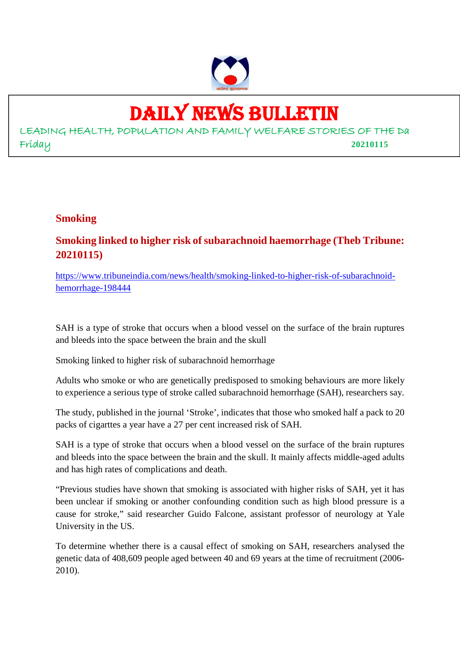

## DAILY NEWS BULLETIN

LEADING HEALTH, POPULATION AND FAMILY WELFARE STORIES OF THE Da Friday **20210115**

### **Smoking**

### **Smoking linked to higher risk of subarachnoid haemorrhage (Theb Tribune: 20210115)**

https://www.tribuneindia.com/news/health/smoking-linked-to-higher-risk-of-subarachnoidhemorrhage-198444

SAH is a type of stroke that occurs when a blood vessel on the surface of the brain ruptures and bleeds into the space between the brain and the skull

Smoking linked to higher risk of subarachnoid hemorrhage

Adults who smoke or who are genetically predisposed to smoking behaviours are more likely to experience a serious type of stroke called subarachnoid hemorrhage (SAH), researchers say.

The study, published in the journal 'Stroke', indicates that those who smoked half a pack to 20 packs of cigarttes a year have a 27 per cent increased risk of SAH.

SAH is a type of stroke that occurs when a blood vessel on the surface of the brain ruptures and bleeds into the space between the brain and the skull. It mainly affects middle-aged adults and has high rates of complications and death.

"Previous studies have shown that smoking is associated with higher risks of SAH, yet it has been unclear if smoking or another confounding condition such as high blood pressure is a cause for stroke," said researcher Guido Falcone, assistant professor of neurology at Yale University in the US.

To determine whether there is a causal effect of smoking on SAH, researchers analysed the genetic data of 408,609 people aged between 40 and 69 years at the time of recruitment (2006- 2010).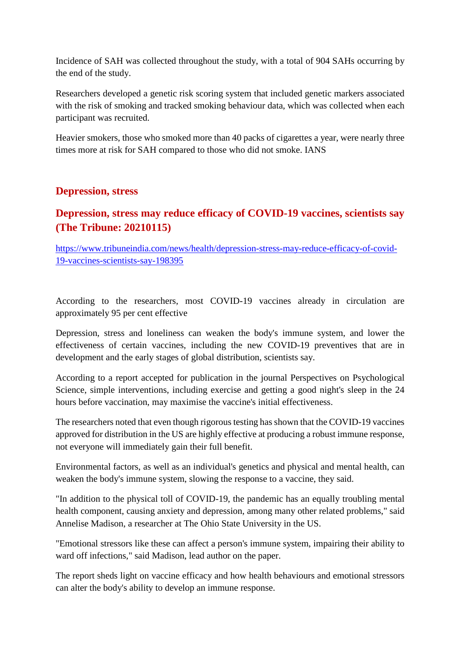Incidence of SAH was collected throughout the study, with a total of 904 SAHs occurring by the end of the study.

Researchers developed a genetic risk scoring system that included genetic markers associated with the risk of smoking and tracked smoking behaviour data, which was collected when each participant was recruited.

Heavier smokers, those who smoked more than 40 packs of cigarettes a year, were nearly three times more at risk for SAH compared to those who did not smoke. IANS

### **Depression, stress**

### **Depression, stress may reduce efficacy of COVID-19 vaccines, scientists say (The Tribune: 20210115)**

https://www.tribuneindia.com/news/health/depression-stress-may-reduce-efficacy-of-covid-19-vaccines-scientists-say-198395

According to the researchers, most COVID-19 vaccines already in circulation are approximately 95 per cent effective

Depression, stress and loneliness can weaken the body's immune system, and lower the effectiveness of certain vaccines, including the new COVID-19 preventives that are in development and the early stages of global distribution, scientists say.

According to a report accepted for publication in the journal Perspectives on Psychological Science, simple interventions, including exercise and getting a good night's sleep in the 24 hours before vaccination, may maximise the vaccine's initial effectiveness.

The researchers noted that even though rigorous testing has shown that the COVID-19 vaccines approved for distribution in the US are highly effective at producing a robust immune response, not everyone will immediately gain their full benefit.

Environmental factors, as well as an individual's genetics and physical and mental health, can weaken the body's immune system, slowing the response to a vaccine, they said.

"In addition to the physical toll of COVID-19, the pandemic has an equally troubling mental health component, causing anxiety and depression, among many other related problems," said Annelise Madison, a researcher at The Ohio State University in the US.

"Emotional stressors like these can affect a person's immune system, impairing their ability to ward off infections," said Madison, lead author on the paper.

The report sheds light on vaccine efficacy and how health behaviours and emotional stressors can alter the body's ability to develop an immune response.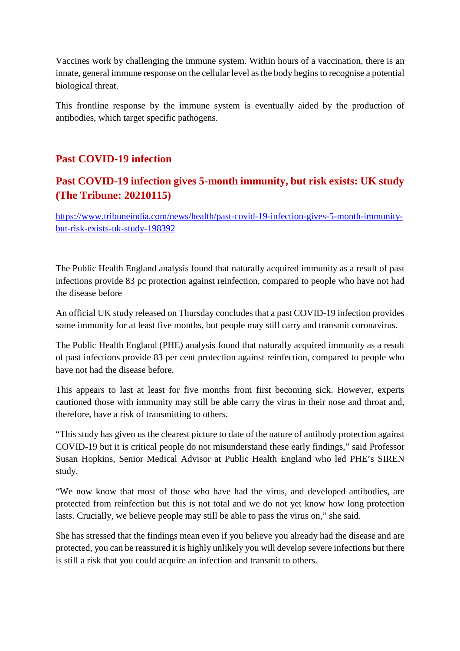Vaccines work by challenging the immune system. Within hours of a vaccination, there is an innate, general immune response on the cellular level as the body begins to recognise a potential biological threat.

This frontline response by the immune system is eventually aided by the production of antibodies, which target specific pathogens.

### **Past COVID-19 infection**

### **Past COVID-19 infection gives 5-month immunity, but risk exists: UK study (The Tribune: 20210115)**

https://www.tribuneindia.com/news/health/past-covid-19-infection-gives-5-month-immunitybut-risk-exists-uk-study-198392

The Public Health England analysis found that naturally acquired immunity as a result of past infections provide 83 pc protection against reinfection, compared to people who have not had the disease before

An official UK study released on Thursday concludes that a past COVID-19 infection provides some immunity for at least five months, but people may still carry and transmit coronavirus.

The Public Health England (PHE) analysis found that naturally acquired immunity as a result of past infections provide 83 per cent protection against reinfection, compared to people who have not had the disease before.

This appears to last at least for five months from first becoming sick. However, experts cautioned those with immunity may still be able carry the virus in their nose and throat and, therefore, have a risk of transmitting to others.

"This study has given us the clearest picture to date of the nature of antibody protection against COVID-19 but it is critical people do not misunderstand these early findings," said Professor Susan Hopkins, Senior Medical Advisor at Public Health England who led PHE's SIREN study.

"We now know that most of those who have had the virus, and developed antibodies, are protected from reinfection but this is not total and we do not yet know how long protection lasts. Crucially, we believe people may still be able to pass the virus on," she said.

She has stressed that the findings mean even if you believe you already had the disease and are protected, you can be reassured it is highly unlikely you will develop severe infections but there is still a risk that you could acquire an infection and transmit to others.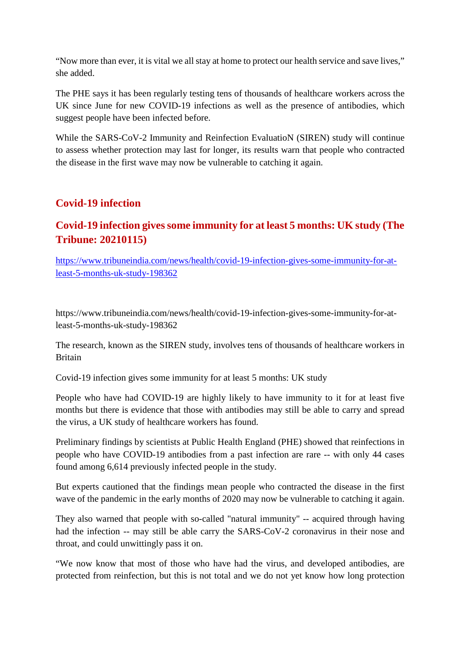"Now more than ever, it is vital we all stay at home to protect our health service and save lives," she added.

The PHE says it has been regularly testing tens of thousands of healthcare workers across the UK since June for new COVID-19 infections as well as the presence of antibodies, which suggest people have been infected before.

While the SARS-CoV-2 Immunity and Reinfection EvaluatioN (SIREN) study will continue to assess whether protection may last for longer, its results warn that people who contracted the disease in the first wave may now be vulnerable to catching it again.

### **Covid-19 infection**

### **Covid-19 infection gives some immunity for at least 5 months: UK study (The Tribune: 20210115)**

https://www.tribuneindia.com/news/health/covid-19-infection-gives-some-immunity-for-atleast-5-months-uk-study-198362

https://www.tribuneindia.com/news/health/covid-19-infection-gives-some-immunity-for-atleast-5-months-uk-study-198362

The research, known as the SIREN study, involves tens of thousands of healthcare workers in Britain

Covid-19 infection gives some immunity for at least 5 months: UK study

People who have had COVID-19 are highly likely to have immunity to it for at least five months but there is evidence that those with antibodies may still be able to carry and spread the virus, a UK study of healthcare workers has found.

Preliminary findings by scientists at Public Health England (PHE) showed that reinfections in people who have COVID-19 antibodies from a past infection are rare -- with only 44 cases found among 6,614 previously infected people in the study.

But experts cautioned that the findings mean people who contracted the disease in the first wave of the pandemic in the early months of 2020 may now be vulnerable to catching it again.

They also warned that people with so-called "natural immunity" -- acquired through having had the infection -- may still be able carry the SARS-CoV-2 coronavirus in their nose and throat, and could unwittingly pass it on.

"We now know that most of those who have had the virus, and developed antibodies, are protected from reinfection, but this is not total and we do not yet know how long protection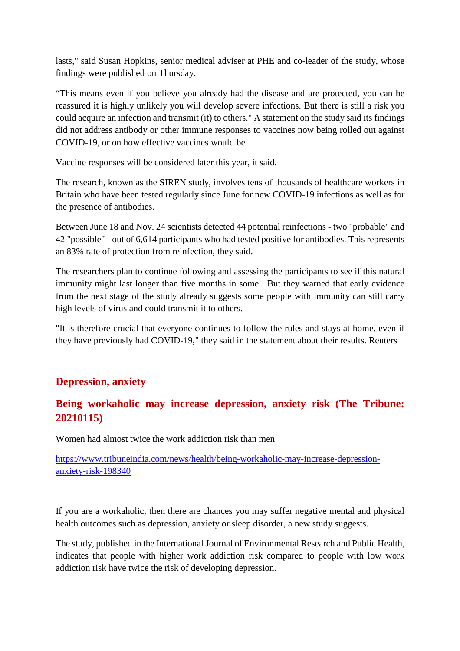lasts," said Susan Hopkins, senior medical adviser at PHE and co-leader of the study, whose findings were published on Thursday.

"This means even if you believe you already had the disease and are protected, you can be reassured it is highly unlikely you will develop severe infections. But there is still a risk you could acquire an infection and transmit (it) to others." A statement on the study said its findings did not address antibody or other immune responses to vaccines now being rolled out against COVID-19, or on how effective vaccines would be.

Vaccine responses will be considered later this year, it said.

The research, known as the SIREN study, involves tens of thousands of healthcare workers in Britain who have been tested regularly since June for new COVID-19 infections as well as for the presence of antibodies.

Between June 18 and Nov. 24 scientists detected 44 potential reinfections - two "probable" and 42 "possible" - out of 6,614 participants who had tested positive for antibodies. This represents an 83% rate of protection from reinfection, they said.

The researchers plan to continue following and assessing the participants to see if this natural immunity might last longer than five months in some. But they warned that early evidence from the next stage of the study already suggests some people with immunity can still carry high levels of virus and could transmit it to others.

"It is therefore crucial that everyone continues to follow the rules and stays at home, even if they have previously had COVID-19," they said in the statement about their results. Reuters

### **Depression, anxiety**

### **Being workaholic may increase depression, anxiety risk (The Tribune: 20210115)**

Women had almost twice the work addiction risk than men

https://www.tribuneindia.com/news/health/being-workaholic-may-increase-depressionanxiety-risk-198340

If you are a workaholic, then there are chances you may suffer negative mental and physical health outcomes such as depression, anxiety or sleep disorder, a new study suggests.

The study, published in the International Journal of Environmental Research and Public Health, indicates that people with higher work addiction risk compared to people with low work addiction risk have twice the risk of developing depression.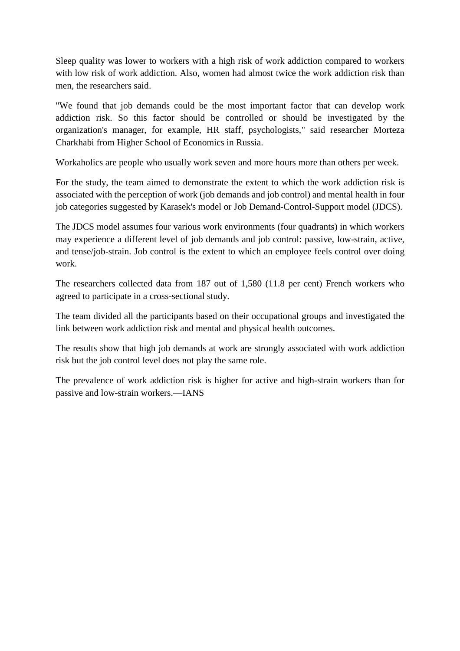Sleep quality was lower to workers with a high risk of work addiction compared to workers with low risk of work addiction. Also, women had almost twice the work addiction risk than men, the researchers said.

"We found that job demands could be the most important factor that can develop work addiction risk. So this factor should be controlled or should be investigated by the organization's manager, for example, HR staff, psychologists," said researcher Morteza Charkhabi from Higher School of Economics in Russia.

Workaholics are people who usually work seven and more hours more than others per week.

For the study, the team aimed to demonstrate the extent to which the work addiction risk is associated with the perception of work (job demands and job control) and mental health in four job categories suggested by Karasek's model or Job Demand-Control-Support model (JDCS).

The JDCS model assumes four various work environments (four quadrants) in which workers may experience a different level of job demands and job control: passive, low-strain, active, and tense/job-strain. Job control is the extent to which an employee feels control over doing work.

The researchers collected data from 187 out of 1,580 (11.8 per cent) French workers who agreed to participate in a cross-sectional study.

The team divided all the participants based on their occupational groups and investigated the link between work addiction risk and mental and physical health outcomes.

The results show that high job demands at work are strongly associated with work addiction risk but the job control level does not play the same role.

The prevalence of work addiction risk is higher for active and high-strain workers than for passive and low-strain workers.—IANS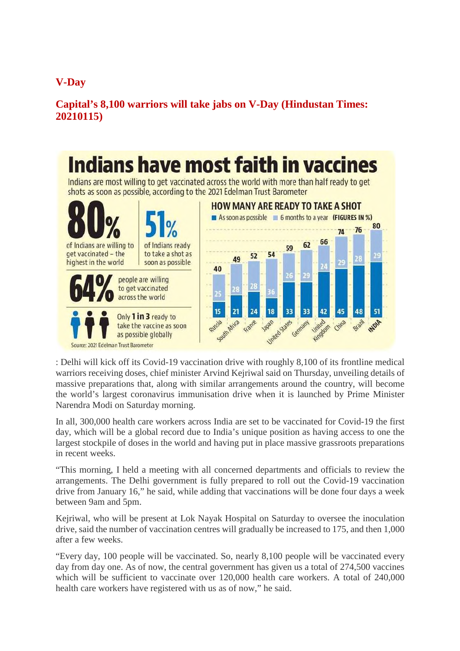### **V-Day**

### **Capital's 8,100 warriors will take jabs on V-Day (Hindustan Times: 20210115)**



: Delhi will kick off its Covid-19 vaccination drive with roughly 8,100 of its frontline medical warriors receiving doses, chief minister Arvind Kejriwal said on Thursday, unveiling details of massive preparations that, along with similar arrangements around the country, will become the world's largest coronavirus immunisation drive when it is launched by Prime Minister Narendra Modi on Saturday morning.

In all, 300,000 health care workers across India are set to be vaccinated for Covid-19 the first day, which will be a global record due to India's unique position as having access to one the largest stockpile of doses in the world and having put in place massive grassroots preparations in recent weeks.

"This morning, I held a meeting with all concerned departments and officials to review the arrangements. The Delhi government is fully prepared to roll out the Covid-19 vaccination drive from January 16," he said, while adding that vaccinations will be done four days a week between 9am and 5pm.

Kejriwal, who will be present at Lok Nayak Hospital on Saturday to oversee the inoculation drive, said the number of vaccination centres will gradually be increased to 175, and then 1,000 after a few weeks.

"Every day, 100 people will be vaccinated. So, nearly 8,100 people will be vaccinated every day from day one. As of now, the central government has given us a total of 274,500 vaccines which will be sufficient to vaccinate over 120,000 health care workers. A total of 240,000 health care workers have registered with us as of now," he said.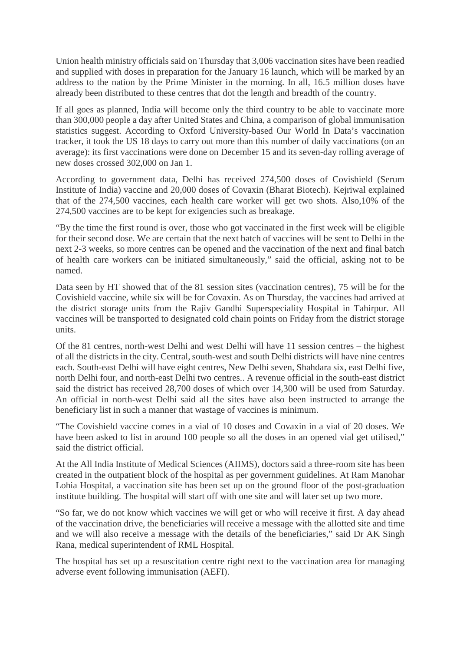Union health ministry officials said on Thursday that 3,006 vaccination sites have been readied and supplied with doses in preparation for the January 16 launch, which will be marked by an address to the nation by the Prime Minister in the morning. In all, 16.5 million doses have already been distributed to these centres that dot the length and breadth of the country.

If all goes as planned, India will become only the third country to be able to vaccinate more than 300,000 people a day after United States and China, a comparison of global immunisation statistics suggest. According to Oxford University-based Our World In Data's vaccination tracker, it took the US 18 days to carry out more than this number of daily vaccinations (on an average): its first vaccinations were done on December 15 and its seven-day rolling average of new doses crossed 302,000 on Jan 1.

According to government data, Delhi has received 274,500 doses of Covishield (Serum Institute of India) vaccine and 20,000 doses of Covaxin (Bharat Biotech). Kejriwal explained that of the 274,500 vaccines, each health care worker will get two shots. Also,10% of the 274,500 vaccines are to be kept for exigencies such as breakage.

"By the time the first round is over, those who got vaccinated in the first week will be eligible for their second dose. We are certain that the next batch of vaccines will be sent to Delhi in the next 2-3 weeks, so more centres can be opened and the vaccination of the next and final batch of health care workers can be initiated simultaneously," said the official, asking not to be named.

Data seen by HT showed that of the 81 session sites (vaccination centres), 75 will be for the Covishield vaccine, while six will be for Covaxin. As on Thursday, the vaccines had arrived at the district storage units from the Rajiv Gandhi Superspeciality Hospital in Tahirpur. All vaccines will be transported to designated cold chain points on Friday from the district storage units.

Of the 81 centres, north-west Delhi and west Delhi will have 11 session centres – the highest of all the districts in the city. Central, south-west and south Delhi districts will have nine centres each. South-east Delhi will have eight centres, New Delhi seven, Shahdara six, east Delhi five, north Delhi four, and north-east Delhi two centres.. A revenue official in the south-east district said the district has received 28,700 doses of which over 14,300 will be used from Saturday. An official in north-west Delhi said all the sites have also been instructed to arrange the beneficiary list in such a manner that wastage of vaccines is minimum.

"The Covishield vaccine comes in a vial of 10 doses and Covaxin in a vial of 20 doses. We have been asked to list in around 100 people so all the doses in an opened vial get utilised," said the district official.

At the All India Institute of Medical Sciences (AIIMS), doctors said a three-room site has been created in the outpatient block of the hospital as per government guidelines. At Ram Manohar Lohia Hospital, a vaccination site has been set up on the ground floor of the post-graduation institute building. The hospital will start off with one site and will later set up two more.

"So far, we do not know which vaccines we will get or who will receive it first. A day ahead of the vaccination drive, the beneficiaries will receive a message with the allotted site and time and we will also receive a message with the details of the beneficiaries," said Dr AK Singh Rana, medical superintendent of RML Hospital.

The hospital has set up a resuscitation centre right next to the vaccination area for managing adverse event following immunisation (AEFI).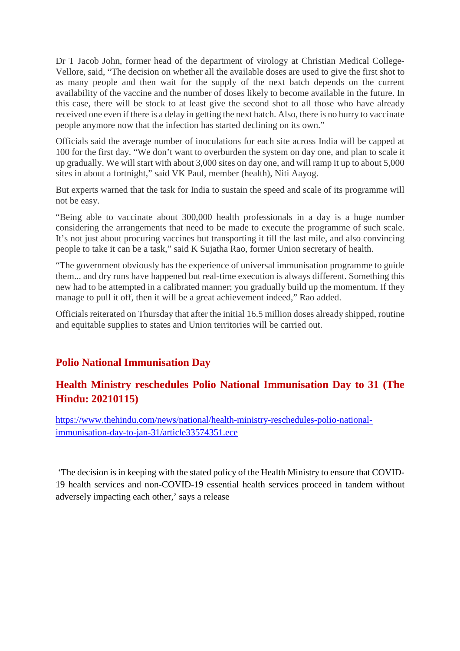Dr T Jacob John, former head of the department of virology at Christian Medical College-Vellore, said, "The decision on whether all the available doses are used to give the first shot to as many people and then wait for the supply of the next batch depends on the current availability of the vaccine and the number of doses likely to become available in the future. In this case, there will be stock to at least give the second shot to all those who have already received one even if there is a delay in getting the next batch. Also, there is no hurry to vaccinate people anymore now that the infection has started declining on its own."

Officials said the average number of inoculations for each site across India will be capped at 100 for the first day. "We don't want to overburden the system on day one, and plan to scale it up gradually. We will start with about 3,000 sites on day one, and will ramp it up to about 5,000 sites in about a fortnight," said VK Paul, member (health), Niti Aayog.

But experts warned that the task for India to sustain the speed and scale of its programme will not be easy.

"Being able to vaccinate about 300,000 health professionals in a day is a huge number considering the arrangements that need to be made to execute the programme of such scale. It's not just about procuring vaccines but transporting it till the last mile, and also convincing people to take it can be a task," said K Sujatha Rao, former Union secretary of health.

"The government obviously has the experience of universal immunisation programme to guide them... and dry runs have happened but real-time execution is always different. Something this new had to be attempted in a calibrated manner; you gradually build up the momentum. If they manage to pull it off, then it will be a great achievement indeed," Rao added.

Officials reiterated on Thursday that after the initial 16.5 million doses already shipped, routine and equitable supplies to states and Union territories will be carried out.

### **Polio National Immunisation Day**

### **Health Ministry reschedules Polio National Immunisation Day to 31 (The Hindu: 20210115)**

https://www.thehindu.com/news/national/health-ministry-reschedules-polio-nationalimmunisation-day-to-jan-31/article33574351.ece

'The decision is in keeping with the stated policy of the Health Ministry to ensure that COVID-19 health services and non-COVID-19 essential health services proceed in tandem without adversely impacting each other,' says a release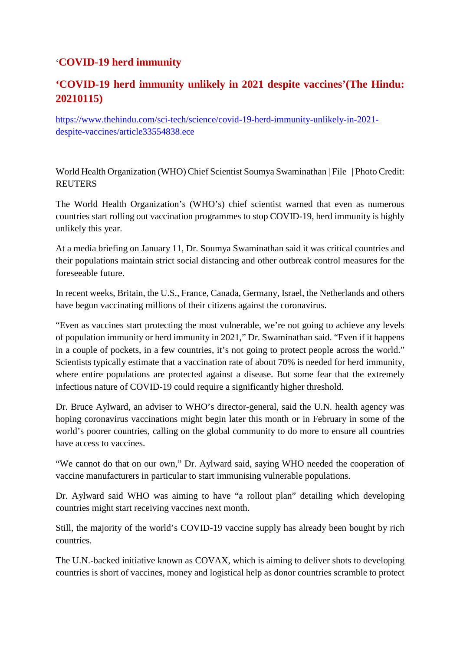### '**COVID-19 herd immunity**

### **'COVID-19 herd immunity unlikely in 2021 despite vaccines'(The Hindu: 20210115)**

https://www.thehindu.com/sci-tech/science/covid-19-herd-immunity-unlikely-in-2021 despite-vaccines/article33554838.ece

World Health Organization (WHO) Chief Scientist Soumya Swaminathan | File | Photo Credit: **REUTERS** 

The World Health Organization's (WHO's) chief scientist warned that even as numerous countries start rolling out vaccination programmes to stop COVID-19, herd immunity is highly unlikely this year.

At a media briefing on January 11, Dr. Soumya Swaminathan said it was critical countries and their populations maintain strict social distancing and other outbreak control measures for the foreseeable future.

In recent weeks, Britain, the U.S., France, Canada, Germany, Israel, the Netherlands and others have begun vaccinating millions of their citizens against the coronavirus.

"Even as vaccines start protecting the most vulnerable, we're not going to achieve any levels of population immunity or herd immunity in 2021," Dr. Swaminathan said. "Even if it happens in a couple of pockets, in a few countries, it's not going to protect people across the world." Scientists typically estimate that a vaccination rate of about 70% is needed for herd immunity, where entire populations are protected against a disease. But some fear that the extremely infectious nature of COVID-19 could require a significantly higher threshold.

Dr. Bruce Aylward, an adviser to WHO's director-general, said the U.N. health agency was hoping coronavirus vaccinations might begin later this month or in February in some of the world's poorer countries, calling on the global community to do more to ensure all countries have access to vaccines.

"We cannot do that on our own," Dr. Aylward said, saying WHO needed the cooperation of vaccine manufacturers in particular to start immunising vulnerable populations.

Dr. Aylward said WHO was aiming to have "a rollout plan" detailing which developing countries might start receiving vaccines next month.

Still, the majority of the world's COVID-19 vaccine supply has already been bought by rich countries.

The U.N.-backed initiative known as COVAX, which is aiming to deliver shots to developing countries is short of vaccines, money and logistical help as donor countries scramble to protect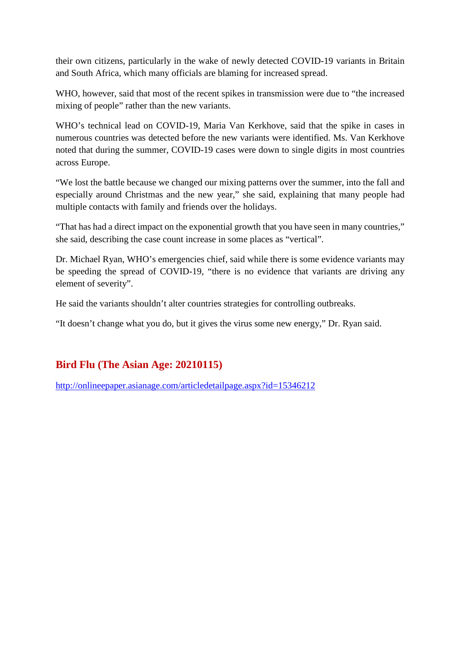their own citizens, particularly in the wake of newly detected COVID-19 variants in Britain and South Africa, which many officials are blaming for increased spread.

WHO, however, said that most of the recent spikes in transmission were due to "the increased mixing of people" rather than the new variants.

WHO's technical lead on COVID-19, Maria Van Kerkhove, said that the spike in cases in numerous countries was detected before the new variants were identified. Ms. Van Kerkhove noted that during the summer, COVID-19 cases were down to single digits in most countries across Europe.

"We lost the battle because we changed our mixing patterns over the summer, into the fall and especially around Christmas and the new year," she said, explaining that many people had multiple contacts with family and friends over the holidays.

"That has had a direct impact on the exponential growth that you have seen in many countries," she said, describing the case count increase in some places as "vertical".

Dr. Michael Ryan, WHO's emergencies chief, said while there is some evidence variants may be speeding the spread of COVID-19, "there is no evidence that variants are driving any element of severity".

He said the variants shouldn't alter countries strategies for controlling outbreaks.

"It doesn't change what you do, but it gives the virus some new energy," Dr. Ryan said.

### **Bird Flu (The Asian Age: 20210115)**

http://onlineepaper.asianage.com/articledetailpage.aspx?id=15346212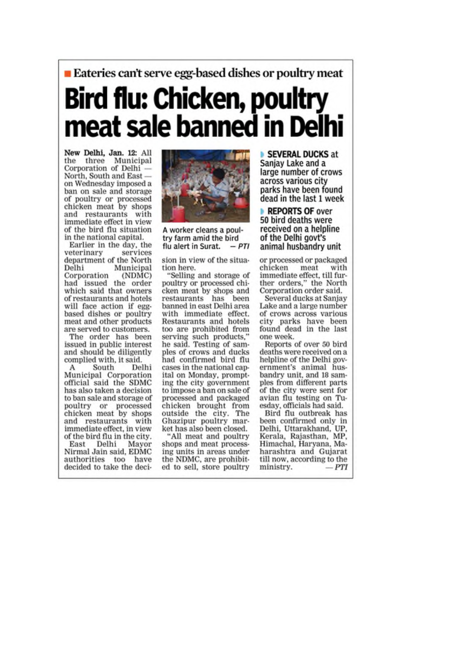## **Exteries can't serve egg-based dishes or poultry meat** Bird flu: Chicken, poultry meat sale banned in Del

New Delhi, Jan. 12: All the three Municipal<br>Corporation of Delhi -North, South and Easton Wednesday imposed a ban on sale and storage of poultry or processed<br>chicken meat by shops and restaurants with immediate effect in view of the bird flu situation in the national capital.

Earlier in the day, the services veterinary department of the North Municipal Delhi Corporation (NDMC) had issued the order which said that owners of restaurants and hotels will face action if eggbased dishes or poultry meat and other products are served to customers.

The order has been issued in public interest and should be diligently complied with, it said.

Delhi South A Municipal Corporation official said the SDMC has also taken a decision to ban sale and storage of poultry or processed<br>chicken meat by shops and restaurants with immediate effect, in view of the bird flu in the city.

East Delhi Mayor Nirmal Jain said, EDMC authorities too have decided to take the deci-



A worker cleans a poultry farm amid the bird  $-DTI$ flu alert in Surat.

sion in view of the situation here.

"Selling and storage of poultry or processed chicken meat by shops and<br>restaurants has been banned in east Delhi area with immediate effect. Restaurants and hotels too are prohibited from serving such products,"<br>he said. Testing of samples of crows and ducks had confirmed bird flu cases in the national canital on Monday, prompting the city government to impose a ban on sale of processed and packaged chicken brought from outside the city. The Ghazipur poultry market has also been closed.

"All meat and poultry shops and meat processing units in areas under the NDMC, are prohibited to sell, store poultry

SEVERAL DUCKS at Sanjay Lake and a large number of crows across various city parks have been found dead in the last 1 week

REPORTS OF over 50 bird deaths were received on a helpline of the Delhi govt's animal husbandry unit

or processed or packaged chicken meat with immediate effect, till further orders," the North Corporation order said.

Several ducks at Sanjay Lake and a large number of crows across various city parks have been<br>found dead in the last one week.

Reports of over 50 bird deaths were received on a helpline of the Delhi government's animal husbandry unit, and 18 samples from different parts of the city were sent for avian flu testing on Tuesday, officials had said.

Bird flu outbreak has been confirmed only in Delhi, Uttarakhand, UP. Kerala, Rajasthan, MP, Himachal, Haryana, Maharashtra and Gujarat till now, according to the ministry.  $-PTI$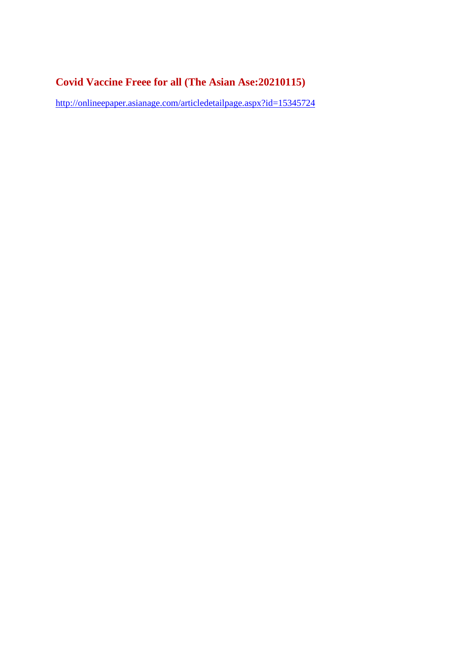### **Covid Vaccine Freee for all (The Asian Ase:20210115)**

http://onlineepaper.asianage.com/articledetailpage.aspx?id=15345724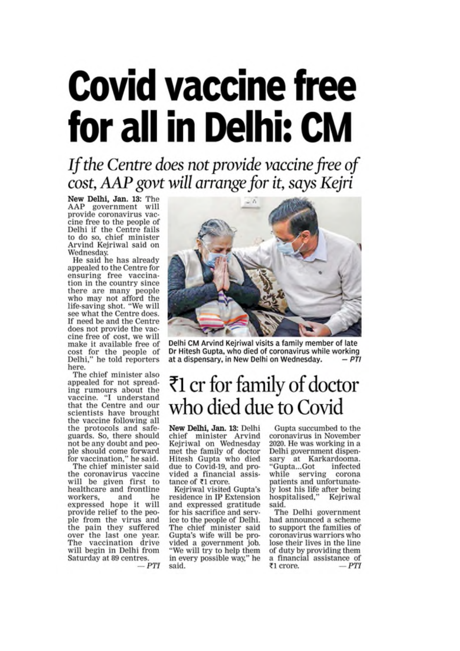# **Covid vaccine free** for all in Delhi: CM

If the Centre does not provide vaccine free of cost, AAP govt will arrange for it, says Kejri

New Delhi, Jan. 13: The AAP government will provide coronavirus vaccine free to the people of Delhi if the Centre fails to do so, chief minister Arvind Kejriwal said on Wednesday.

He said he has already appealed to the Centre for ensuring free vaccination in the country since there are many people<br>who may not afford the life-saving shot. "We will see what the Centre does. If need be and the Centre does not provide the vaccine free of cost, we will make it available free of cost for the people of<br>Delhi," he told reporters here.

The chief minister also appealed for not spreading rumours about the vaccine. "I understand<br>that the Centre and our<br>scientists have brought the vaccine following all the protocols and safeguards. So, there should not be any doubt and people should come forward<br>for vaccination," he said.<br>The chief minister said

the coronavirus vaccine<br>will be given first to<br>healthcare and frontline workers. and he expressed hope it will provide relief to the peo-<br>ple from the virus and the pain they suffered over the last one year. The vaccination drive will begin in Delhi from Saturday at 89 centres.  $-PTI$ 



Delhi CM Arvind Kejriwal visits a family member of late Dr Hitesh Gupta, who died of coronavirus while working at a dispensary, in New Delhi on Wednesday.

### ₹1 cr for family of doctor who died due to Covid

New Delhi, Jan. 13: Delhi chief minister Arvind Kejriwal on Wednesday met the family of doctor<br>Hitesh Gupta who died due to Covid-19, and provided a financial assistance of ₹1 crore.

Kejriwal visited Gupta's residence in IP Extension and expressed gratitude for his sacrifice and service to the people of Delhi. The chief minister said Gupta's wife will be provided a government job. "We will try to help them in every possible way," he said.

Gupta succumbed to the coronavirus in November 2020. He was working in a Delhi government dispensary at Karkardooma. "Gupta...Got infected while serving corona patients and unfortunately lost his life after being<br>hospitalised," Kejriwal said.

The Delhi government had announced a scheme to support the families of coronavirus warriors who lose their lives in the line of duty by providing them a financial assistance of  $-PTI$ ₹1 crore.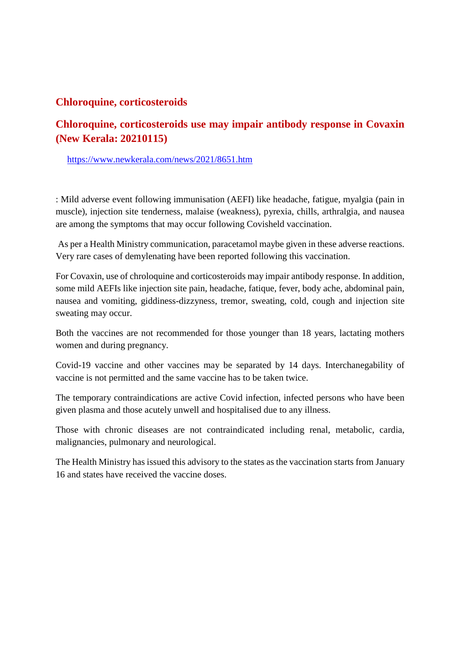### **Chloroquine, corticosteroids**

### **Chloroquine, corticosteroids use may impair antibody response in Covaxin (New Kerala: 20210115)**

https://www.newkerala.com/news/2021/8651.htm

: Mild adverse event following immunisation (AEFI) like headache, fatigue, myalgia (pain in muscle), injection site tenderness, malaise (weakness), pyrexia, chills, arthralgia, and nausea are among the symptoms that may occur following Covisheld vaccination.

As per a Health Ministry communication, paracetamol maybe given in these adverse reactions. Very rare cases of demylenating have been reported following this vaccination.

For Covaxin, use of chroloquine and corticosteroids may impair antibody response. In addition, some mild AEFIs like injection site pain, headache, fatique, fever, body ache, abdominal pain, nausea and vomiting, giddiness-dizzyness, tremor, sweating, cold, cough and injection site sweating may occur.

Both the vaccines are not recommended for those younger than 18 years, lactating mothers women and during pregnancy.

Covid-19 vaccine and other vaccines may be separated by 14 days. Interchanegability of vaccine is not permitted and the same vaccine has to be taken twice.

The temporary contraindications are active Covid infection, infected persons who have been given plasma and those acutely unwell and hospitalised due to any illness.

Those with chronic diseases are not contraindicated including renal, metabolic, cardia, malignancies, pulmonary and neurological.

The Health Ministry has issued this advisory to the states as the vaccination starts from January 16 and states have received the vaccine doses.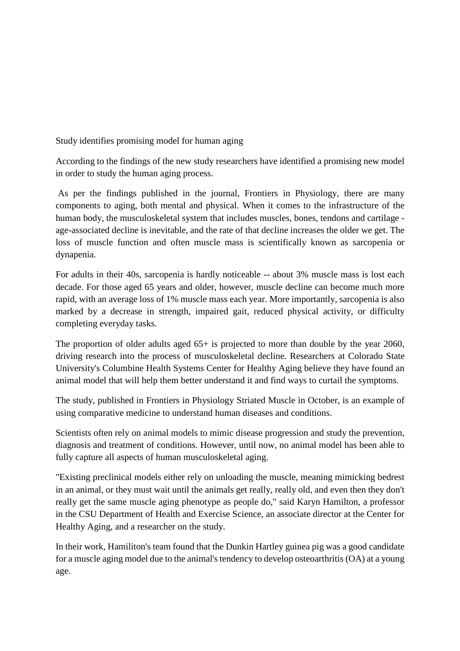Study identifies promising model for human aging

According to the findings of the new study researchers have identified a promising new model in order to study the human aging process.

As per the findings published in the journal, Frontiers in Physiology, there are many components to aging, both mental and physical. When it comes to the infrastructure of the human body, the musculoskeletal system that includes muscles, bones, tendons and cartilage age-associated decline is inevitable, and the rate of that decline increases the older we get. The loss of muscle function and often muscle mass is scientifically known as sarcopenia or dynapenia.

For adults in their 40s, sarcopenia is hardly noticeable -- about 3% muscle mass is lost each decade. For those aged 65 years and older, however, muscle decline can become much more rapid, with an average loss of 1% muscle mass each year. More importantly, sarcopenia is also marked by a decrease in strength, impaired gait, reduced physical activity, or difficulty completing everyday tasks.

The proportion of older adults aged  $65+$  is projected to more than double by the year 2060, driving research into the process of musculoskeletal decline. Researchers at Colorado State University's Columbine Health Systems Center for Healthy Aging believe they have found an animal model that will help them better understand it and find ways to curtail the symptoms.

The study, published in Frontiers in Physiology Striated Muscle in October, is an example of using comparative medicine to understand human diseases and conditions.

Scientists often rely on animal models to mimic disease progression and study the prevention, diagnosis and treatment of conditions. However, until now, no animal model has been able to fully capture all aspects of human musculoskeletal aging.

"Existing preclinical models either rely on unloading the muscle, meaning mimicking bedrest in an animal, or they must wait until the animals get really, really old, and even then they don't really get the same muscle aging phenotype as people do," said Karyn Hamilton, a professor in the CSU Department of Health and Exercise Science, an associate director at the Center for Healthy Aging, and a researcher on the study.

In their work, Hamiliton's team found that the Dunkin Hartley guinea pig was a good candidate for a muscle aging model due to the animal's tendency to develop osteoarthritis (OA) at a young age.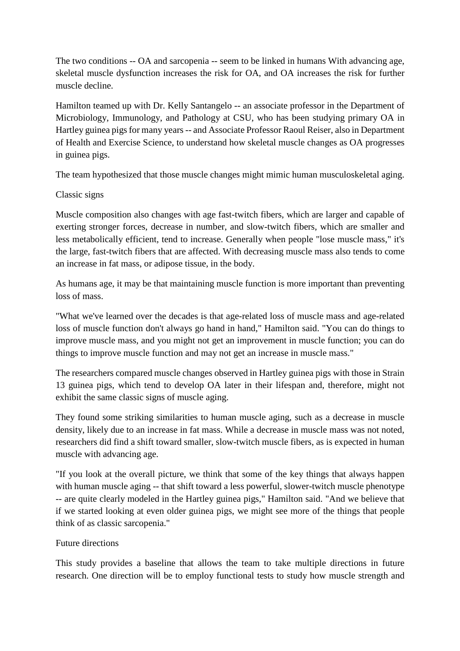The two conditions -- OA and sarcopenia -- seem to be linked in humans With advancing age, skeletal muscle dysfunction increases the risk for OA, and OA increases the risk for further muscle decline.

Hamilton teamed up with Dr. Kelly Santangelo -- an associate professor in the Department of Microbiology, Immunology, and Pathology at CSU, who has been studying primary OA in Hartley guinea pigs for many years -- and Associate Professor Raoul Reiser, also in Department of Health and Exercise Science, to understand how skeletal muscle changes as OA progresses in guinea pigs.

The team hypothesized that those muscle changes might mimic human musculoskeletal aging.

### Classic signs

Muscle composition also changes with age fast-twitch fibers, which are larger and capable of exerting stronger forces, decrease in number, and slow-twitch fibers, which are smaller and less metabolically efficient, tend to increase. Generally when people "lose muscle mass," it's the large, fast-twitch fibers that are affected. With decreasing muscle mass also tends to come an increase in fat mass, or adipose tissue, in the body.

As humans age, it may be that maintaining muscle function is more important than preventing loss of mass.

"What we've learned over the decades is that age-related loss of muscle mass and age-related loss of muscle function don't always go hand in hand," Hamilton said. "You can do things to improve muscle mass, and you might not get an improvement in muscle function; you can do things to improve muscle function and may not get an increase in muscle mass."

The researchers compared muscle changes observed in Hartley guinea pigs with those in Strain 13 guinea pigs, which tend to develop OA later in their lifespan and, therefore, might not exhibit the same classic signs of muscle aging.

They found some striking similarities to human muscle aging, such as a decrease in muscle density, likely due to an increase in fat mass. While a decrease in muscle mass was not noted, researchers did find a shift toward smaller, slow-twitch muscle fibers, as is expected in human muscle with advancing age.

"If you look at the overall picture, we think that some of the key things that always happen with human muscle aging -- that shift toward a less powerful, slower-twitch muscle phenotype -- are quite clearly modeled in the Hartley guinea pigs," Hamilton said. "And we believe that if we started looking at even older guinea pigs, we might see more of the things that people think of as classic sarcopenia."

### Future directions

This study provides a baseline that allows the team to take multiple directions in future research. One direction will be to employ functional tests to study how muscle strength and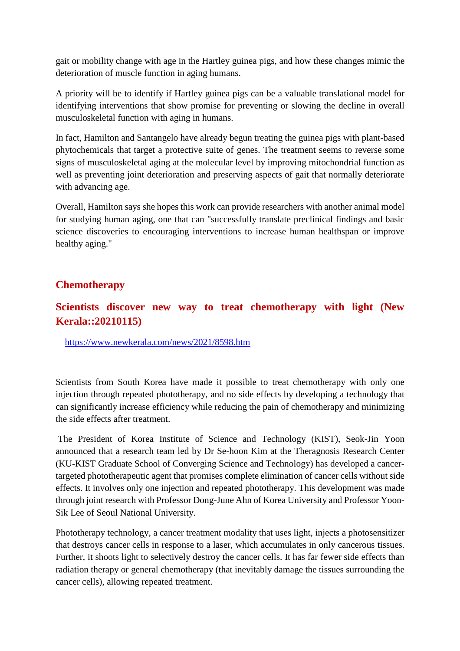gait or mobility change with age in the Hartley guinea pigs, and how these changes mimic the deterioration of muscle function in aging humans.

A priority will be to identify if Hartley guinea pigs can be a valuable translational model for identifying interventions that show promise for preventing or slowing the decline in overall musculoskeletal function with aging in humans.

In fact, Hamilton and Santangelo have already begun treating the guinea pigs with plant-based phytochemicals that target a protective suite of genes. The treatment seems to reverse some signs of musculoskeletal aging at the molecular level by improving mitochondrial function as well as preventing joint deterioration and preserving aspects of gait that normally deteriorate with advancing age.

Overall, Hamilton says she hopes this work can provide researchers with another animal model for studying human aging, one that can "successfully translate preclinical findings and basic science discoveries to encouraging interventions to increase human healthspan or improve healthy aging."

### **Chemotherapy**

### **Scientists discover new way to treat chemotherapy with light (New Kerala::20210115)**

https://www.newkerala.com/news/2021/8598.htm

Scientists from South Korea have made it possible to treat chemotherapy with only one injection through repeated phototherapy, and no side effects by developing a technology that can significantly increase efficiency while reducing the pain of chemotherapy and minimizing the side effects after treatment.

The President of Korea Institute of Science and Technology (KIST), Seok-Jin Yoon announced that a research team led by Dr Se-hoon Kim at the Theragnosis Research Center (KU-KIST Graduate School of Converging Science and Technology) has developed a cancertargeted phototherapeutic agent that promises complete elimination of cancer cells without side effects. It involves only one injection and repeated phototherapy. This development was made through joint research with Professor Dong-June Ahn of Korea University and Professor Yoon-Sik Lee of Seoul National University.

Phototherapy technology, a cancer treatment modality that uses light, injects a photosensitizer that destroys cancer cells in response to a laser, which accumulates in only cancerous tissues. Further, it shoots light to selectively destroy the cancer cells. It has far fewer side effects than radiation therapy or general chemotherapy (that inevitably damage the tissues surrounding the cancer cells), allowing repeated treatment.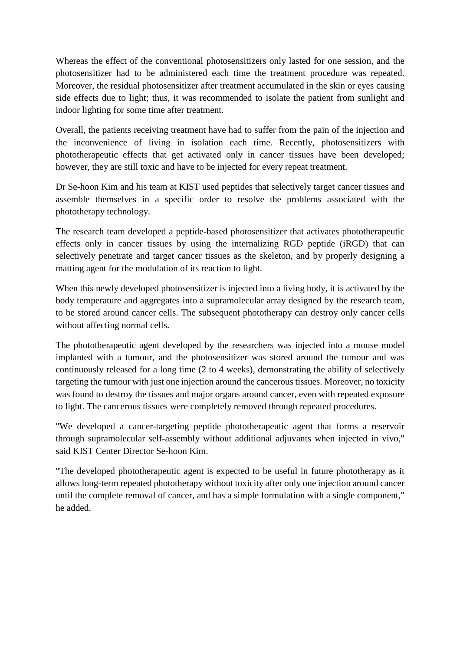Whereas the effect of the conventional photosensitizers only lasted for one session, and the photosensitizer had to be administered each time the treatment procedure was repeated. Moreover, the residual photosensitizer after treatment accumulated in the skin or eyes causing side effects due to light; thus, it was recommended to isolate the patient from sunlight and indoor lighting for some time after treatment.

Overall, the patients receiving treatment have had to suffer from the pain of the injection and the inconvenience of living in isolation each time. Recently, photosensitizers with phototherapeutic effects that get activated only in cancer tissues have been developed; however, they are still toxic and have to be injected for every repeat treatment.

Dr Se-hoon Kim and his team at KIST used peptides that selectively target cancer tissues and assemble themselves in a specific order to resolve the problems associated with the phototherapy technology.

The research team developed a peptide-based photosensitizer that activates phototherapeutic effects only in cancer tissues by using the internalizing RGD peptide (iRGD) that can selectively penetrate and target cancer tissues as the skeleton, and by properly designing a matting agent for the modulation of its reaction to light.

When this newly developed photosensitizer is injected into a living body, it is activated by the body temperature and aggregates into a supramolecular array designed by the research team, to be stored around cancer cells. The subsequent phototherapy can destroy only cancer cells without affecting normal cells.

The phototherapeutic agent developed by the researchers was injected into a mouse model implanted with a tumour, and the photosensitizer was stored around the tumour and was continuously released for a long time (2 to 4 weeks), demonstrating the ability of selectively targeting the tumour with just one injection around the cancerous tissues. Moreover, no toxicity was found to destroy the tissues and major organs around cancer, even with repeated exposure to light. The cancerous tissues were completely removed through repeated procedures.

"We developed a cancer-targeting peptide phototherapeutic agent that forms a reservoir through supramolecular self-assembly without additional adjuvants when injected in vivo," said KIST Center Director Se-hoon Kim.

"The developed phototherapeutic agent is expected to be useful in future phototherapy as it allows long-term repeated phototherapy without toxicity after only one injection around cancer until the complete removal of cancer, and has a simple formulation with a single component," he added.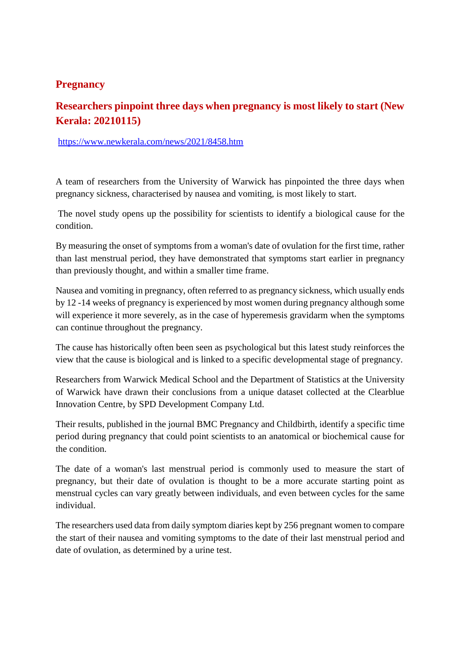### **Pregnancy**

### **Researchers pinpoint three days when pregnancy is most likely to start (New Kerala: 20210115)**

https://www.newkerala.com/news/2021/8458.htm

A team of researchers from the University of Warwick has pinpointed the three days when pregnancy sickness, characterised by nausea and vomiting, is most likely to start.

The novel study opens up the possibility for scientists to identify a biological cause for the condition.

By measuring the onset of symptoms from a woman's date of ovulation for the first time, rather than last menstrual period, they have demonstrated that symptoms start earlier in pregnancy than previously thought, and within a smaller time frame.

Nausea and vomiting in pregnancy, often referred to as pregnancy sickness, which usually ends by 12 -14 weeks of pregnancy is experienced by most women during pregnancy although some will experience it more severely, as in the case of hyperemesis gravidarm when the symptoms can continue throughout the pregnancy.

The cause has historically often been seen as psychological but this latest study reinforces the view that the cause is biological and is linked to a specific developmental stage of pregnancy.

Researchers from Warwick Medical School and the Department of Statistics at the University of Warwick have drawn their conclusions from a unique dataset collected at the Clearblue Innovation Centre, by SPD Development Company Ltd.

Their results, published in the journal BMC Pregnancy and Childbirth, identify a specific time period during pregnancy that could point scientists to an anatomical or biochemical cause for the condition.

The date of a woman's last menstrual period is commonly used to measure the start of pregnancy, but their date of ovulation is thought to be a more accurate starting point as menstrual cycles can vary greatly between individuals, and even between cycles for the same individual.

The researchers used data from daily symptom diaries kept by 256 pregnant women to compare the start of their nausea and vomiting symptoms to the date of their last menstrual period and date of ovulation, as determined by a urine test.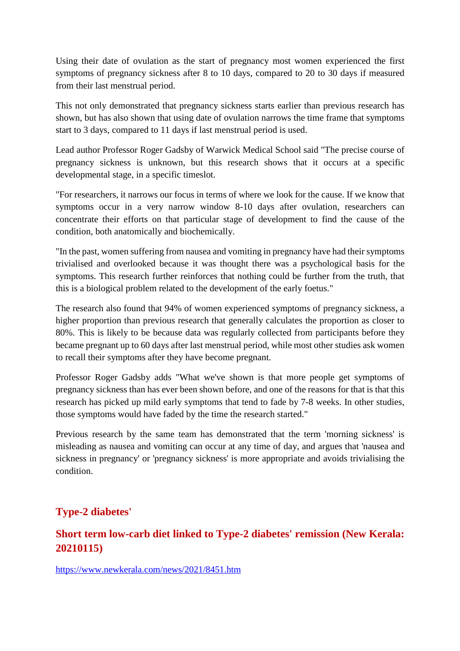Using their date of ovulation as the start of pregnancy most women experienced the first symptoms of pregnancy sickness after 8 to 10 days, compared to 20 to 30 days if measured from their last menstrual period.

This not only demonstrated that pregnancy sickness starts earlier than previous research has shown, but has also shown that using date of ovulation narrows the time frame that symptoms start to 3 days, compared to 11 days if last menstrual period is used.

Lead author Professor Roger Gadsby of Warwick Medical School said "The precise course of pregnancy sickness is unknown, but this research shows that it occurs at a specific developmental stage, in a specific timeslot.

"For researchers, it narrows our focus in terms of where we look for the cause. If we know that symptoms occur in a very narrow window 8-10 days after ovulation, researchers can concentrate their efforts on that particular stage of development to find the cause of the condition, both anatomically and biochemically.

"In the past, women suffering from nausea and vomiting in pregnancy have had their symptoms trivialised and overlooked because it was thought there was a psychological basis for the symptoms. This research further reinforces that nothing could be further from the truth, that this is a biological problem related to the development of the early foetus."

The research also found that 94% of women experienced symptoms of pregnancy sickness, a higher proportion than previous research that generally calculates the proportion as closer to 80%. This is likely to be because data was regularly collected from participants before they became pregnant up to 60 days after last menstrual period, while most other studies ask women to recall their symptoms after they have become pregnant.

Professor Roger Gadsby adds "What we've shown is that more people get symptoms of pregnancy sickness than has ever been shown before, and one of the reasons for that is that this research has picked up mild early symptoms that tend to fade by 7-8 weeks. In other studies, those symptoms would have faded by the time the research started."

Previous research by the same team has demonstrated that the term 'morning sickness' is misleading as nausea and vomiting can occur at any time of day, and argues that 'nausea and sickness in pregnancy' or 'pregnancy sickness' is more appropriate and avoids trivialising the condition.

### **Type-2 diabetes'**

### **Short term low-carb diet linked to Type-2 diabetes' remission (New Kerala: 20210115)**

https://www.newkerala.com/news/2021/8451.htm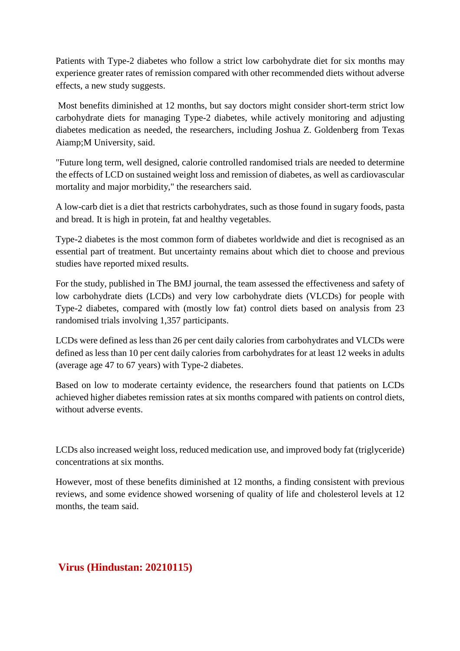Patients with Type-2 diabetes who follow a strict low carbohydrate diet for six months may experience greater rates of remission compared with other recommended diets without adverse effects, a new study suggests.

Most benefits diminished at 12 months, but say doctors might consider short-term strict low carbohydrate diets for managing Type-2 diabetes, while actively monitoring and adjusting diabetes medication as needed, the researchers, including Joshua Z. Goldenberg from Texas Aiamp;M University, said.

"Future long term, well designed, calorie controlled randomised trials are needed to determine the effects of LCD on sustained weight loss and remission of diabetes, as well as cardiovascular mortality and major morbidity," the researchers said.

A low-carb diet is a diet that restricts carbohydrates, such as those found in sugary foods, pasta and bread. It is high in protein, fat and healthy vegetables.

Type-2 diabetes is the most common form of diabetes worldwide and diet is recognised as an essential part of treatment. But uncertainty remains about which diet to choose and previous studies have reported mixed results.

For the study, published in The BMJ journal, the team assessed the effectiveness and safety of low carbohydrate diets (LCDs) and very low carbohydrate diets (VLCDs) for people with Type-2 diabetes, compared with (mostly low fat) control diets based on analysis from 23 randomised trials involving 1,357 participants.

LCDs were defined as less than 26 per cent daily calories from carbohydrates and VLCDs were defined as less than 10 per cent daily calories from carbohydrates for at least 12 weeks in adults (average age 47 to 67 years) with Type-2 diabetes.

Based on low to moderate certainty evidence, the researchers found that patients on LCDs achieved higher diabetes remission rates at six months compared with patients on control diets, without adverse events.

LCDs also increased weight loss, reduced medication use, and improved body fat (triglyceride) concentrations at six months.

However, most of these benefits diminished at 12 months, a finding consistent with previous reviews, and some evidence showed worsening of quality of life and cholesterol levels at 12 months, the team said.

### **Virus (Hindustan: 20210115)**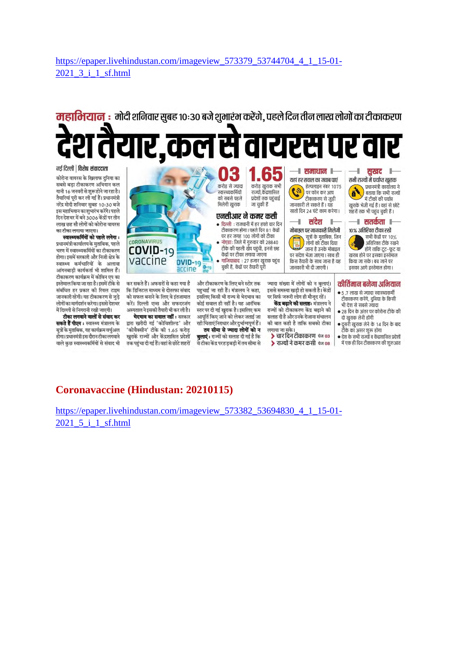https://epaper.livehindustan.com/imageview\_573379\_53744704\_4\_1\_15-01-2021 3 i 1 sf.html

## महाभियान : मोदी शनिवार सुबह १०:३० बजे शुभारंभ करेंगे, पहले दिन तीन लाख लोगों का टीकाकरण र.कल स वायरस पर व

नई दिल्ली | विशेष संवाददाता

कोरोना वायरस के खिलाफ दुनिया का सबसे बडा टीकाकरण अभियान कल .<br>यानी 16 जनवरी से शुरू होने जा रहा है। तैयारियां परी कर ली गईं हैं। प्रधानमंत्री नरेंद्र मोदी शनिवार सुबह 10:30 बजे इस महाभियान का शुभारंभ करेंगे। पहले दिन देशभर में बने 3006 केंद्रों पर तीन लाख छह सौ लोगों को कोरोना वायरस का टीका लगाया जाएगा।

स्वास्थ्यकर्मियों को पहले लगेगा : प्रधानमंत्री कार्यालय के मताबिक, पहले चरण में स्वास्थ्यकर्मियों का टीकाकरण होगा। इसमें सरकारी और निजी क्षेत्र के स्वास्थ्य कर्मचारियों के अलावा आंगनबाडी कार्यकर्ता भी शामिल हैं। टीकाकरण कार्यक्रम में कोविन एप का इस्तेमाल किया जा रहा है। इसमें टीके से संबंधित हर प्रकार की रियल टाइम जानकारी रहेगी। यह टीकाकरण से जुड़े लोगों का मार्गदर्शन करेगा। इससे देशभर में दिल्ली से निगरानी रखी जाएगी।

टीका लगवाने वालों से संवाद कर सकते हैं पीएम : स्वास्थ्य मंत्रालय के सूत्रों के मुताबिक, यह कार्यक्रम वर्चुअल होगा। प्रधानमंत्री इस दौरान टीका लगवाने वाले कुछ स्वास्थ्यकर्मियों से संवाद भी



भेदभाव का सवाल नहीं : सरकार द्वारा खरीदी गई 'कोविशील्ड' और 'कोवैक्सीन' टीके की 1.65 करोड़ खुराकें राज्यों और केंद्रशासित प्रदेशों तक पहुंचा दी गई हैं। वहां से छोटे शहरों आपूर्ति किए जाने को लेकर जताई जा रही चिंताएं निराधार और दुर्भाग्यपूर्ण हैं। तय सीमा से ज्यादा लोगों को न **बुलाएं :** राज्यों को सलाह दी गई है कि .<br>वे टीका केंद्र परहड़बड़ी में तय सीमा से

सलाह दी है और उनके रोजाना संचालन की बात कही है ताकि सबको टीका लगाया जा सके। > चार दिन टीकाकरण चेन 03

> राज्यों ने कमर कसी चेज 08

- दो खुराक लेनी होंगी
- दूसरी खुराक लेने के 14 दिन के बाद टीके का असर शुरू होगा
- देश के सभी राज्यों व केंद्रशासित प्रदेशों में एक ही दिन टीकाकरण की शुरुआत

### **Coronavaccine (Hindustan: 20210115)**

https://epaper.livehindustan.com/imageview 573382 53694830 4 1 15-01-2021 5 i 1 sf.html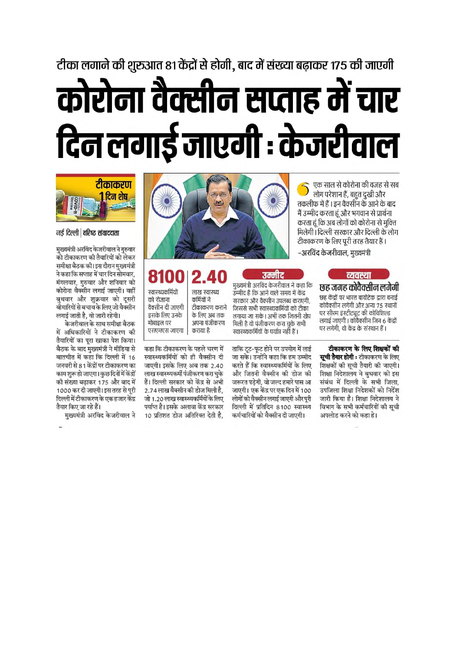# टीका लगाने की शुरुआत 81 केंद्रों से होगी, बाद में संख्या बढ़ाकर 175 की जाएगी कोरोना वैक्सीन सप्ताह में चार दिन लगाई जाएगी : केजरीवाल



नई दिल्ली | वरिष्ट संवाददाता

मुख्यमंत्री अरविंद केजरीवाल ने गुरुवार को टीकाकरण की तैयारियों को लेकर समीक्षा बैठक की। इस दौरान मुख्यमंत्री ने कहा कि सप्ताह में चार दिन सोमवार. मंगलवार, गुरुवार और शनिवार को कोरोना वैक्सीन लगाई जाएगी। वहीं बुधवार और शुक्रवार को दूसरी बोमारियों से बचाव के लिए जो वैक्सीन लगाई जाती है, वो जारी रहेगी।

केजरीवाल के साथ समीक्षा बैठक में अधिकारियों ने टीकाकरण की तैयारियों का परा खाका पेश किया। बैठक के बाद मुख्यमंत्री ने मीडिया से बातचीत में कहा कि दिल्ली में 16 जनवरी से 81 केंद्रों पर टीकाकरण का काम शुरू हो जाएगा। कुछ दिनों में केंद्रों की संख्या बढ़ाकर 175 और बाद में 1000 कर दी जाएगी। इस तरह से पूरी दिल्ली में टीकाकरण के एक हजार केंद्र तैयार किए जा रहे हैं।

मुख्यमंत्री अरविंद केजरीवाल ने



8100 स्वास्थ्यकर्मियों लाख स्वास्थ्य को रोजाना कर्मियों ने टीकाकरण कराने वैक्सीन दी जाएगी

इसके लिए उनके के लिए अब तक अपना पंजीकरण मोबाडल पर एसएमएस जाएगा कराया है

कहा कि टीकाकरण के पहले चरण में स्वास्थ्यकर्मियों को ही वैक्सीन दी जाएगी। इसके लिए अब तक 2.40 लाख स्वास्थ्यकर्मी पंजीकरण करा चुके हैं। दिल्ली सरकार को केंद्र से अभी 2.74 लाख वैक्सीन की डोज मिली है, जो 1.20 लाख स्वास्थ्यकर्मियों के लिए पर्याप्त है। इसके अलावा केंद्र सरकार 10 प्रतिशत डोज अतिरिक्त देती है.

उम्मीद है कि आने वाले समय में केंद्र सरकार और वैक्सीन उपलब्ध कराएगी. जिससे सभी स्वास्थ्यकर्मियों को टीका लगाया जा सके। अभी तक जितनी खेप मिली है वो पंजीकरण करा चुके सभी स्वास्थ्यकर्मियों के पर्याप्त नहीं हैं। ताकि टूट-फूट होने पर उपयोग में लाई

जा सके। उन्होंने कहा कि हम उम्मीद

करते हैं कि स्वास्थ्यकर्मियों के लिए

और जितनी वैक्सीन की डोज की

जरूरत पड़ेगी, वो जल्द हमारे पास आ जाएगी। एक केंद्र पर एक दिन में 100

लोगों को वैक्सीन लगाई जाएगी और पूरी

दिल्ली में प्रतिदिन 8100 स्वास्थ्य

कर्मचारियों को वैक्सीन दी जाएगी।

उम्मीद

टीकाकरण के लिए पूरी तरह तैयार हैं। –अरविंद केजरीवाल, मुख्यमंत्री व्यवस्था मुख्यमंत्री अरविंद केजरीवाल ने कहा कि छह जगह कोवैक्सीन लगेगी

एक साल से कोरोना की वजह से सब लोग परेशान हैं, बहुत दुखी और

तकलीफ में हैं । इन वैक्सीन के आने के बाद मैं उम्मीद करता हूं और भगवान से प्रार्थना करता हूं कि अब लोगों को कोरोना से मुक्ति

मिलेगी। दिल्ली सरकार और दिल्ली के लोग

छह केंद्रों पर भारत बायोटेक द्वारा बनाई कोवैक्सीन लगेगी और अन्य 75 स्थानों पर सीरम इंस्टीट्यट की कोविशिल्ड लगाई जाएगी । कोवैक्सीन जिन 6 केंद्रों पर लगेगी, वो केंद्र के संस्थान हैं।

टीकाकरण के लिए शिक्षकों की **सूची तैयार होगी :** टीकाकरण के लिए शिक्षकों की सूची तैयारी की जाएगी। शिक्षा निदेशालय ने बुधवार को इस संबंध में दिल्ली के सभी जिला, उपजिला शिक्षा निदेशकों को निर्देश जारी किया है। शिक्षा निदेशालय ने विभाग के सभी कर्मचारियों की सची अपलोड करने को कहा हे।